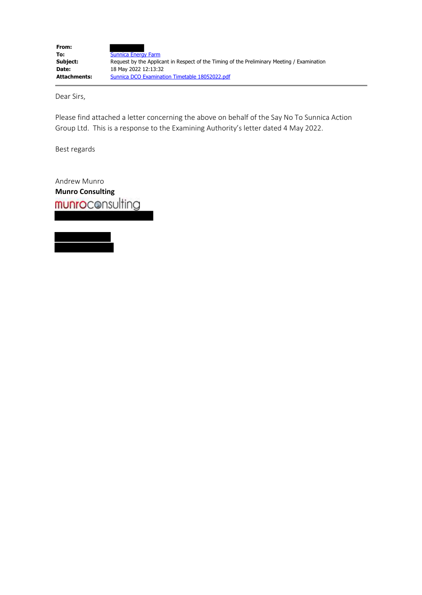| From:               |                                                                                            |
|---------------------|--------------------------------------------------------------------------------------------|
| To:                 | <b>Sunnica Energy Farm</b>                                                                 |
| Subject:            | Request by the Applicant in Respect of the Timing of the Preliminary Meeting / Examination |
| Date:               | 18 May 2022 12:13:32                                                                       |
| <b>Attachments:</b> | Sunnica DCO Examination Timetable 18052022.pdf                                             |

Dear Sirs,

Please find attached a letter concerning the above on behalf of the Say No To Sunnica Action Group Ltd. This is a response to the Examining Authority's letter dated 4 May 2022.

Best regards

Andrew Munro **Munro Consulting**

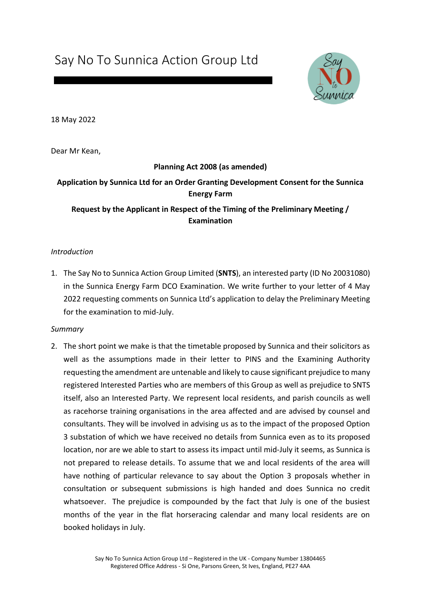Say No To Sunnica Action Group Ltd



18 May 2022

Dear Mr Kean,

# **Planning Act 2008 (as amended) Application by Sunnica Ltd for an Order Granting Development Consent for the Sunnica Energy Farm Request by the Applicant in Respect of the Timing of the Preliminary Meeting / Examination**

# *Introduction*

1. The Say No to Sunnica Action Group Limited (**SNTS**), an interested party (ID No 20031080) in the Sunnica Energy Farm DCO Examination. We write further to your letter of 4 May 2022 requesting comments on Sunnica Ltd's application to delay the Preliminary Meeting for the examination to mid-July.

#### *Summary*

2. The short point we make is that the timetable proposed by Sunnica and their solicitors as well as the assumptions made in their letter to PINS and the Examining Authority requesting the amendment are untenable and likely to cause significant prejudice to many registered Interested Parties who are members of this Group as well as prejudice to SNTS itself, also an Interested Party. We represent local residents, and parish councils as well as racehorse training organisations in the area affected and are advised by counsel and consultants. They will be involved in advising us as to the impact of the proposed Option 3 substation of which we have received no details from Sunnica even as to its proposed location, nor are we able to start to assess its impact until mid-July it seems, as Sunnica is not prepared to release details. To assume that we and local residents of the area will have nothing of particular relevance to say about the Option 3 proposals whether in consultation or subsequent submissions is high handed and does Sunnica no credit whatsoever. The prejudice is compounded by the fact that July is one of the busiest months of the year in the flat horseracing calendar and many local residents are on booked holidays in July.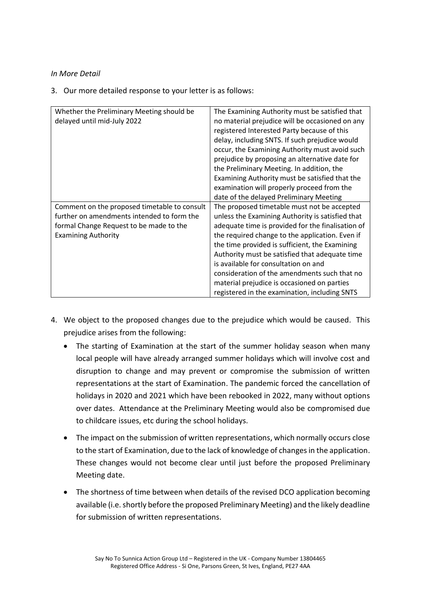# *In More Detail*

3. Our more detailed response to your letter is as follows:

| Whether the Preliminary Meeting should be<br>delayed until mid-July 2022                                                                                            | The Examining Authority must be satisfied that<br>no material prejudice will be occasioned on any<br>registered Interested Party because of this<br>delay, including SNTS. If such prejudice would<br>occur, the Examining Authority must avoid such<br>prejudice by proposing an alternative date for<br>the Preliminary Meeting. In addition, the<br>Examining Authority must be satisfied that the<br>examination will properly proceed from the<br>date of the delayed Preliminary Meeting      |
|---------------------------------------------------------------------------------------------------------------------------------------------------------------------|-----------------------------------------------------------------------------------------------------------------------------------------------------------------------------------------------------------------------------------------------------------------------------------------------------------------------------------------------------------------------------------------------------------------------------------------------------------------------------------------------------|
| Comment on the proposed timetable to consult<br>further on amendments intended to form the<br>formal Change Request to be made to the<br><b>Examining Authority</b> | The proposed timetable must not be accepted<br>unless the Examining Authority is satisfied that<br>adequate time is provided for the finalisation of<br>the required change to the application. Even if<br>the time provided is sufficient, the Examining<br>Authority must be satisfied that adequate time<br>is available for consultation on and<br>consideration of the amendments such that no<br>material prejudice is occasioned on parties<br>registered in the examination, including SNTS |

- 4. We object to the proposed changes due to the prejudice which would be caused. This prejudice arises from the following:
	- The starting of Examination at the start of the summer holiday season when many local people will have already arranged summer holidays which will involve cost and disruption to change and may prevent or compromise the submission of written representations at the start of Examination. The pandemic forced the cancellation of holidays in 2020 and 2021 which have been rebooked in 2022, many without options over dates. Attendance at the Preliminary Meeting would also be compromised due to childcare issues, etc during the school holidays.
	- The impact on the submission of written representations, which normally occurs close to the start of Examination, due to the lack of knowledge of changes in the application. These changes would not become clear until just before the proposed Preliminary Meeting date.
	- The shortness of time between when details of the revised DCO application becoming available (i.e. shortly before the proposed Preliminary Meeting) and the likely deadline for submission of written representations.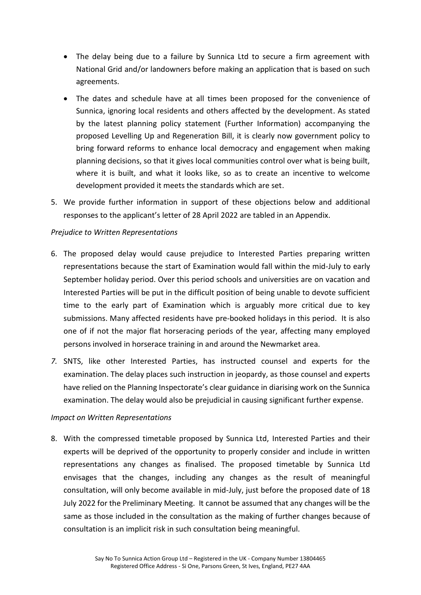- The delay being due to a failure by Sunnica Ltd to secure a firm agreement with National Grid and/or landowners before making an application that is based on such agreements.
- The dates and schedule have at all times been proposed for the convenience of Sunnica, ignoring local residents and others affected by the development. As stated by the latest planning policy statement (Further Information) accompanying the proposed Levelling Up and Regeneration Bill, it is clearly now government policy to bring forward reforms to enhance local democracy and engagement when making planning decisions, so that it gives local communities control over what is being built, where it is built, and what it looks like, so as to create an incentive to welcome development provided it meets the standards which are set.
- 5. We provide further information in support of these objections below and additional responses to the applicant's letter of 28 April 2022 are tabled in an Appendix.

# *Prejudice to Written Representations*

- 6. The proposed delay would cause prejudice to Interested Parties preparing written representations because the start of Examination would fall within the mid-July to early September holiday period. Over this period schools and universities are on vacation and Interested Parties will be put in the difficult position of being unable to devote sufficient time to the early part of Examination which is arguably more critical due to key submissions. Many affected residents have pre-booked holidays in this period. It is also one of if not the major flat horseracing periods of the year, affecting many employed persons involved in horserace training in and around the Newmarket area.
- *7.* SNTS, like other Interested Parties, has instructed counsel and experts for the examination. The delay places such instruction in jeopardy, as those counsel and experts have relied on the Planning Inspectorate's clear guidance in diarising work on the Sunnica examination. The delay would also be prejudicial in causing significant further expense.

#### *Impact on Written Representations*

8. With the compressed timetable proposed by Sunnica Ltd, Interested Parties and their experts will be deprived of the opportunity to properly consider and include in written representations any changes as finalised. The proposed timetable by Sunnica Ltd envisages that the changes, including any changes as the result of meaningful consultation, will only become available in mid-July, just before the proposed date of 18 July 2022 for the Preliminary Meeting. It cannot be assumed that any changes will be the same as those included in the consultation as the making of further changes because of consultation is an implicit risk in such consultation being meaningful.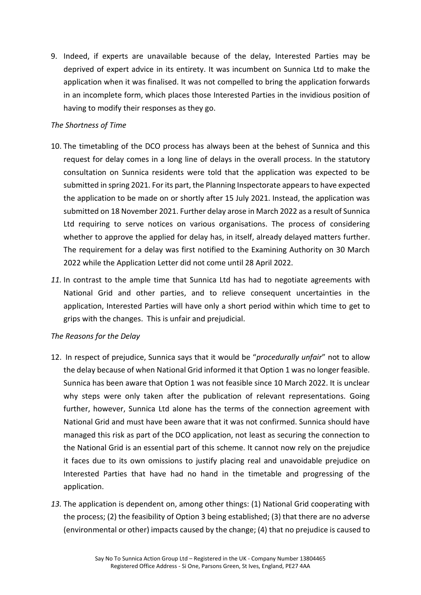9. Indeed, if experts are unavailable because of the delay, Interested Parties may be deprived of expert advice in its entirety. It was incumbent on Sunnica Ltd to make the application when it was finalised. It was not compelled to bring the application forwards in an incomplete form, which places those Interested Parties in the invidious position of having to modify their responses as they go.

# *The Shortness of Time*

- 10. The timetabling of the DCO process has always been at the behest of Sunnica and this request for delay comes in a long line of delays in the overall process. In the statutory consultation on Sunnica residents were told that the application was expected to be submitted in spring 2021. For its part, the Planning Inspectorate appears to have expected the application to be made on or shortly after 15 July 2021. Instead, the application was submitted on 18 November 2021. Further delay arose in March 2022 as a result of Sunnica Ltd requiring to serve notices on various organisations. The process of considering whether to approve the applied for delay has, in itself, already delayed matters further. The requirement for a delay was first notified to the Examining Authority on 30 March 2022 while the Application Letter did not come until 28 April 2022.
- *11.* In contrast to the ample time that Sunnica Ltd has had to negotiate agreements with National Grid and other parties, and to relieve consequent uncertainties in the application, Interested Parties will have only a short period within which time to get to grips with the changes. This is unfair and prejudicial.

#### *The Reasons for the Delay*

- 12. In respect of prejudice, Sunnica says that it would be "*procedurally unfair*" not to allow the delay because of when National Grid informed it that Option 1 was no longer feasible. Sunnica has been aware that Option 1 was not feasible since 10 March 2022. It is unclear why steps were only taken after the publication of relevant representations. Going further, however, Sunnica Ltd alone has the terms of the connection agreement with National Grid and must have been aware that it was not confirmed. Sunnica should have managed this risk as part of the DCO application, not least as securing the connection to the National Grid is an essential part of this scheme. It cannot now rely on the prejudice it faces due to its own omissions to justify placing real and unavoidable prejudice on Interested Parties that have had no hand in the timetable and progressing of the application.
- *13.* The application is dependent on, among other things: (1) National Grid cooperating with the process; (2) the feasibility of Option 3 being established; (3) that there are no adverse (environmental or other) impacts caused by the change; (4) that no prejudice is caused to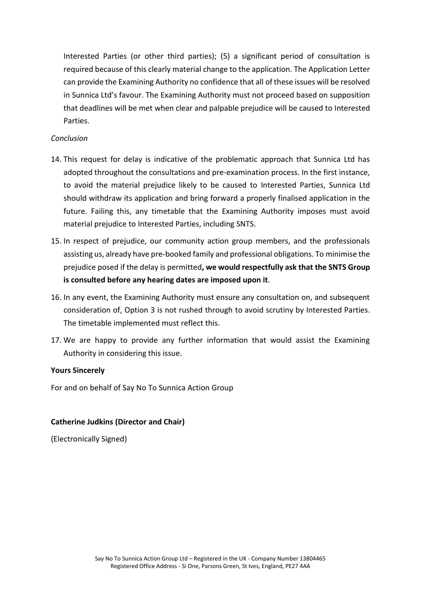Interested Parties (or other third parties); (5) a significant period of consultation is required because of this clearly material change to the application. The Application Letter can provide the Examining Authority no confidence that all of these issues will be resolved in Sunnica Ltd's favour. The Examining Authority must not proceed based on supposition that deadlines will be met when clear and palpable prejudice will be caused to Interested Parties.

## *Conclusion*

- 14. This request for delay is indicative of the problematic approach that Sunnica Ltd has adopted throughout the consultations and pre-examination process. In the first instance, to avoid the material prejudice likely to be caused to Interested Parties, Sunnica Ltd should withdraw its application and bring forward a properly finalised application in the future. Failing this, any timetable that the Examining Authority imposes must avoid material prejudice to Interested Parties, including SNTS.
- 15. In respect of prejudice, our community action group members, and the professionals assisting us, already have pre-booked family and professional obligations. To minimise the prejudice posed if the delay is permitted**, we would respectfully ask that the SNTS Group is consulted before any hearing dates are imposed upon it**.
- 16. In any event, the Examining Authority must ensure any consultation on, and subsequent consideration of, Option 3 is not rushed through to avoid scrutiny by Interested Parties. The timetable implemented must reflect this.
- 17. We are happy to provide any further information that would assist the Examining Authority in considering this issue.

# **Yours Sincerely**

For and on behalf of Say No To Sunnica Action Group

#### **Catherine Judkins (Director and Chair)**

(Electronically Signed)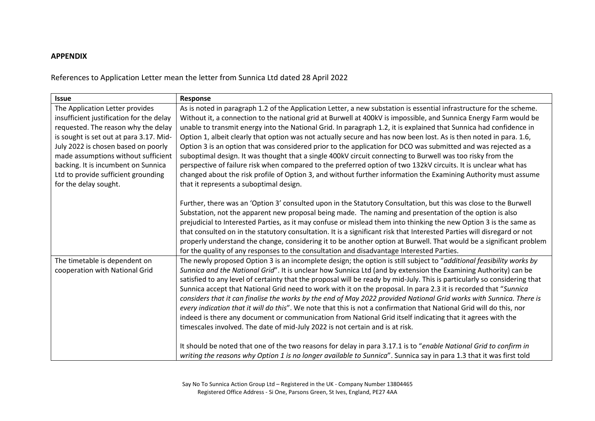## **APPENDIX**

References to Application Letter mean the letter from Sunnica Ltd dated 28 April 2022

| Response                                                                                                                  |
|---------------------------------------------------------------------------------------------------------------------------|
| As is noted in paragraph 1.2 of the Application Letter, a new substation is essential infrastructure for the scheme.      |
| Without it, a connection to the national grid at Burwell at 400kV is impossible, and Sunnica Energy Farm would be         |
| unable to transmit energy into the National Grid. In paragraph 1.2, it is explained that Sunnica had confidence in        |
| Option 1, albeit clearly that option was not actually secure and has now been lost. As is then noted in para. 1.6,        |
| Option 3 is an option that was considered prior to the application for DCO was submitted and was rejected as a            |
| suboptimal design. It was thought that a single 400kV circuit connecting to Burwell was too risky from the                |
| perspective of failure risk when compared to the preferred option of two 132kV circuits. It is unclear what has           |
| changed about the risk profile of Option 3, and without further information the Examining Authority must assume           |
| that it represents a suboptimal design.                                                                                   |
|                                                                                                                           |
| Further, there was an 'Option 3' consulted upon in the Statutory Consultation, but this was close to the Burwell          |
| Substation, not the apparent new proposal being made. The naming and presentation of the option is also                   |
| prejudicial to Interested Parties, as it may confuse or mislead them into thinking the new Option 3 is the same as        |
| that consulted on in the statutory consultation. It is a significant risk that Interested Parties will disregard or not   |
| properly understand the change, considering it to be another option at Burwell. That would be a significant problem       |
| for the quality of any responses to the consultation and disadvantage Interested Parties.                                 |
| The newly proposed Option 3 is an incomplete design; the option is still subject to "additional feasibility works by      |
| Sunnica and the National Grid". It is unclear how Sunnica Ltd (and by extension the Examining Authority) can be           |
| satisfied to any level of certainty that the proposal will be ready by mid-July. This is particularly so considering that |
| Sunnica accept that National Grid need to work with it on the proposal. In para 2.3 it is recorded that "Sunnica          |
| considers that it can finalise the works by the end of May 2022 provided National Grid works with Sunnica. There is       |
| every indication that it will do this". We note that this is not a confirmation that National Grid will do this, nor      |
| indeed is there any document or communication from National Grid itself indicating that it agrees with the                |
| timescales involved. The date of mid-July 2022 is not certain and is at risk.                                             |
| It should be noted that one of the two reasons for delay in para 3.17.1 is to "enable National Grid to confirm in         |
| writing the reasons why Option 1 is no longer available to Sunnica". Sunnica say in para 1.3 that it was first told       |
|                                                                                                                           |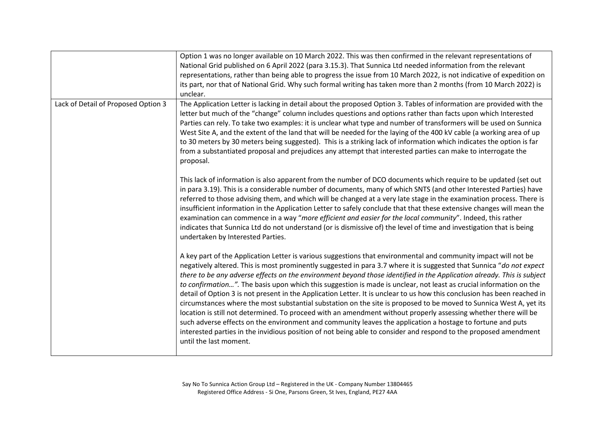|                                     | Option 1 was no longer available on 10 March 2022. This was then confirmed in the relevant representations of                                                                                                                                                                                                                                                                                                                                                                                                                                                                                                                                                                                                                                                                                                                                                                                                                                                                                                                                                                                                            |
|-------------------------------------|--------------------------------------------------------------------------------------------------------------------------------------------------------------------------------------------------------------------------------------------------------------------------------------------------------------------------------------------------------------------------------------------------------------------------------------------------------------------------------------------------------------------------------------------------------------------------------------------------------------------------------------------------------------------------------------------------------------------------------------------------------------------------------------------------------------------------------------------------------------------------------------------------------------------------------------------------------------------------------------------------------------------------------------------------------------------------------------------------------------------------|
|                                     | National Grid published on 6 April 2022 (para 3.15.3). That Sunnica Ltd needed information from the relevant                                                                                                                                                                                                                                                                                                                                                                                                                                                                                                                                                                                                                                                                                                                                                                                                                                                                                                                                                                                                             |
|                                     | representations, rather than being able to progress the issue from 10 March 2022, is not indicative of expedition on                                                                                                                                                                                                                                                                                                                                                                                                                                                                                                                                                                                                                                                                                                                                                                                                                                                                                                                                                                                                     |
|                                     | its part, nor that of National Grid. Why such formal writing has taken more than 2 months (from 10 March 2022) is                                                                                                                                                                                                                                                                                                                                                                                                                                                                                                                                                                                                                                                                                                                                                                                                                                                                                                                                                                                                        |
|                                     | unclear.                                                                                                                                                                                                                                                                                                                                                                                                                                                                                                                                                                                                                                                                                                                                                                                                                                                                                                                                                                                                                                                                                                                 |
| Lack of Detail of Proposed Option 3 | The Application Letter is lacking in detail about the proposed Option 3. Tables of information are provided with the<br>letter but much of the "change" column includes questions and options rather than facts upon which Interested<br>Parties can rely. To take two examples: it is unclear what type and number of transformers will be used on Sunnica<br>West Site A, and the extent of the land that will be needed for the laying of the 400 kV cable (a working area of up<br>to 30 meters by 30 meters being suggested). This is a striking lack of information which indicates the option is far<br>from a substantiated proposal and prejudices any attempt that interested parties can make to interrogate the<br>proposal.                                                                                                                                                                                                                                                                                                                                                                                 |
|                                     | This lack of information is also apparent from the number of DCO documents which require to be updated (set out<br>in para 3.19). This is a considerable number of documents, many of which SNTS (and other Interested Parties) have<br>referred to those advising them, and which will be changed at a very late stage in the examination process. There is<br>insufficient information in the Application Letter to safely conclude that that these extensive changes will mean the<br>examination can commence in a way "more efficient and easier for the local community". Indeed, this rather<br>indicates that Sunnica Ltd do not understand (or is dismissive of) the level of time and investigation that is being<br>undertaken by Interested Parties.                                                                                                                                                                                                                                                                                                                                                         |
|                                     | A key part of the Application Letter is various suggestions that environmental and community impact will not be<br>negatively altered. This is most prominently suggested in para 3.7 where it is suggested that Sunnica "do not expect<br>there to be any adverse effects on the environment beyond those identified in the Application already. This is subject<br>to confirmation". The basis upon which this suggestion is made is unclear, not least as crucial information on the<br>detail of Option 3 is not present in the Application Letter. It is unclear to us how this conclusion has been reached in<br>circumstances where the most substantial substation on the site is proposed to be moved to Sunnica West A, yet its<br>location is still not determined. To proceed with an amendment without properly assessing whether there will be<br>such adverse effects on the environment and community leaves the application a hostage to fortune and puts<br>interested parties in the invidious position of not being able to consider and respond to the proposed amendment<br>until the last moment. |